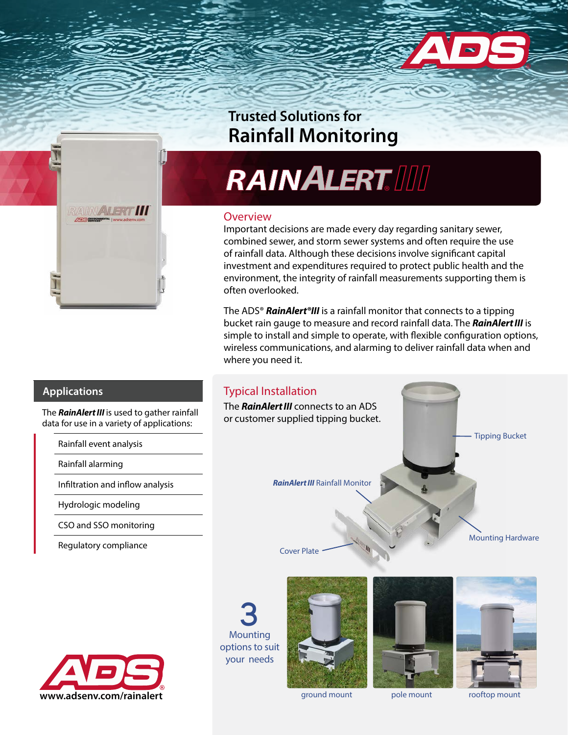

## **Rainfall Monitoring**

## **RAINALERT** Trusted Solutions for<br>Rainfall Monitoring<br>**RAINALERT. IIII**

## **Overview**

Typical Installation

The *RainAlert III* connects to an ADS or customer supplied tipping bucket.

Cover Plate

Important decisions are made every day regarding sanitary sewer, combined sewer, and storm sewer systems and often require the use of rainfall data. Although these decisions involve significant capital investment and expenditures required to protect public health and the environment, the integrity of rainfall measurements supporting them is often overlooked.

The ADS® *RainAlert®III* is a rainfall monitor that connects to a tipping bucket rain gauge to measure and record rainfall data. The *RainAlert III* is simple to install and simple to operate, with flexible configuration options, wireless communications, and alarming to deliver rainfall data when and where you need it.

## **Applications**

The *RainAlert III* is used to gather rainfall data for use in a variety of applications:

Rainfall event analysis

Rainfall alarming

Infiltration and inflow analysis

Hydrologic modeling

CSO and SSO monitoring

Regulatory compliance



**3** Mounting options to suit your needs



*RainAlert III* Rainfall Monitor



Tipping Bucket

Mounting Hardware

ground mount pole mount rooftop mount